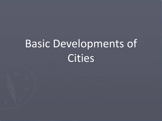# Basic Developments of **Cities**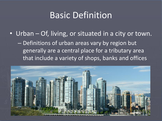## Basic Definition

• Urban – Of, living, or situated in a city or town. – Definitions of urban areas vary by region but generally are a central place for a tributary area that include a variety of shops, banks and offices

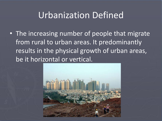# Urbanization Defined

• The increasing number of people that migrate from rural to urban areas. It predominantly results in the physical growth of urban areas, be it horizontal or vertical.

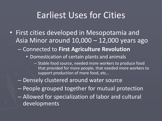#### Earliest Uses for Cities

- First cities developed in Mesopotamia and Asia Minor around 10,000 – 12,000 years ago
	- Connected to **First Agriculture Revolution**
		- Domestication of certain plants and animals
			- Stable food source, needed more workers to produce food that provided for more people, that needed more workers to support production of more food, etc…
	- Densely clustered around water source
	- People grouped together for mutual protection
	- Allowed for specialization of labor and cultural developments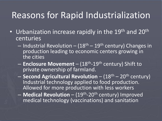# Reasons for Rapid Industrialization

- Urbanization increase rapidly in the 19<sup>th</sup> and 20<sup>th</sup> centuries
	- Industrial Revolution  $(18<sup>th</sup> 19<sup>th</sup>$  century) Changes in production leading to economic centers growing in the cities
	- **Enclosure Movement** (18<sup>th</sup>-19<sup>th</sup> century) Shift to private ownership of farmland.
	- **Second Agricultural Revolution**  (18th 20th century) Industrial technology applied to food production. Allowed for more production with less workers
	- Medical Revolution (19<sup>th</sup>-20<sup>th</sup> century) Improved medical technology (vaccinations) and sanitation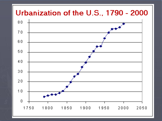#### Urbanization of the U.S., 1790 - 2000

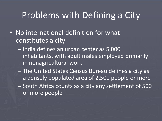# Problems with Defining a City

- No international definition for what constitutes a city
	- India defines an urban center as 5,000 inhabitants, with adult males employed primarily in nonagricultural work
	- The United States Census Bureau defines a city as a densely populated area of 2,500 people or more – South Africa counts as a city any settlement of 500 or more people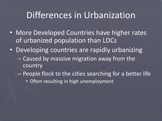## Differences in Urbanization

- More Developed Countries have higher rates of urbanized population than LDCs
- Developing countries are rapidly urbanizing – Caused by massive migration away from the country
	- People flock to the cities searching for a better life
		- Often resulting in high unemployment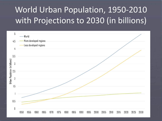# World Urban Population, 1950-2010 with Projections to 2030 (in billions)

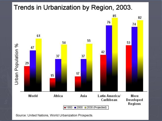#### Trends in Urbanization by Region, 2003.



Source: United Nations, World Urbanization Prospects.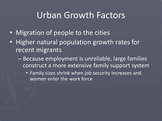#### Urban Growth Factors

- Migration of people to the cities
- Higher natural population growth rates for recent migrants
	- Because employment is unreliable, large families construct a more extensive family support system
		- Family sizes shrink when job security increases and women enter the work force